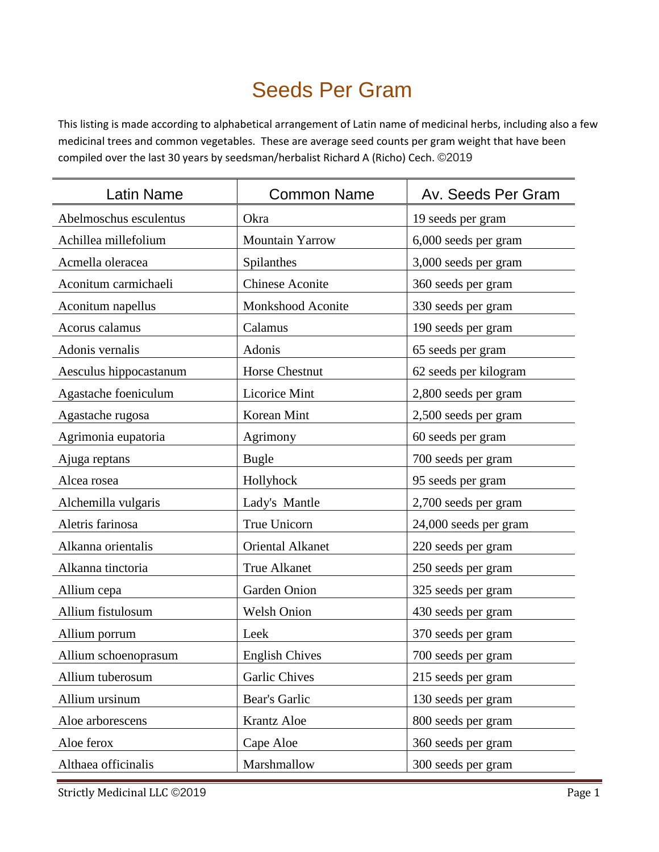## Seeds Per Gram

This listing is made according to alphabetical arrangement of Latin name of medicinal herbs, including also a few medicinal trees and common vegetables. These are average seed counts per gram weight that have been compiled over the last 30 years by seedsman/herbalist Richard A (Richo) Cech. ©2019

| <b>Latin Name</b>      | <b>Common Name</b>      | Av. Seeds Per Gram    |
|------------------------|-------------------------|-----------------------|
| Abelmoschus esculentus | Okra                    | 19 seeds per gram     |
| Achillea millefolium   | Mountain Yarrow         | 6,000 seeds per gram  |
| Acmella oleracea       | Spilanthes              | 3,000 seeds per gram  |
| Aconitum carmichaeli   | <b>Chinese Aconite</b>  | 360 seeds per gram    |
| Aconitum napellus      | Monkshood Aconite       | 330 seeds per gram    |
| Acorus calamus         | Calamus                 | 190 seeds per gram    |
| Adonis vernalis        | Adonis                  | 65 seeds per gram     |
| Aesculus hippocastanum | Horse Chestnut          | 62 seeds per kilogram |
| Agastache foeniculum   | <b>Licorice Mint</b>    | 2,800 seeds per gram  |
| Agastache rugosa       | Korean Mint             | 2,500 seeds per gram  |
| Agrimonia eupatoria    | Agrimony                | 60 seeds per gram     |
| Ajuga reptans          | <b>Bugle</b>            | 700 seeds per gram    |
| Alcea rosea            | Hollyhock               | 95 seeds per gram     |
| Alchemilla vulgaris    | Lady's Mantle           | 2,700 seeds per gram  |
| Aletris farinosa       | True Unicorn            | 24,000 seeds per gram |
| Alkanna orientalis     | <b>Oriental Alkanet</b> | 220 seeds per gram    |
| Alkanna tinctoria      | <b>True Alkanet</b>     | 250 seeds per gram    |
| Allium cepa            | Garden Onion            | 325 seeds per gram    |
| Allium fistulosum      | <b>Welsh Onion</b>      | 430 seeds per gram    |
| Allium porrum          | Leek                    | 370 seeds per gram    |
| Allium schoenoprasum   | <b>English Chives</b>   | 700 seeds per gram    |
| Allium tuberosum       | <b>Garlic Chives</b>    | 215 seeds per gram    |
| Allium ursinum         | Bear's Garlic           | 130 seeds per gram    |
| Aloe arborescens       | Krantz Aloe             | 800 seeds per gram    |
| Aloe ferox             | Cape Aloe               | 360 seeds per gram    |
| Althaea officinalis    | Marshmallow             | 300 seeds per gram    |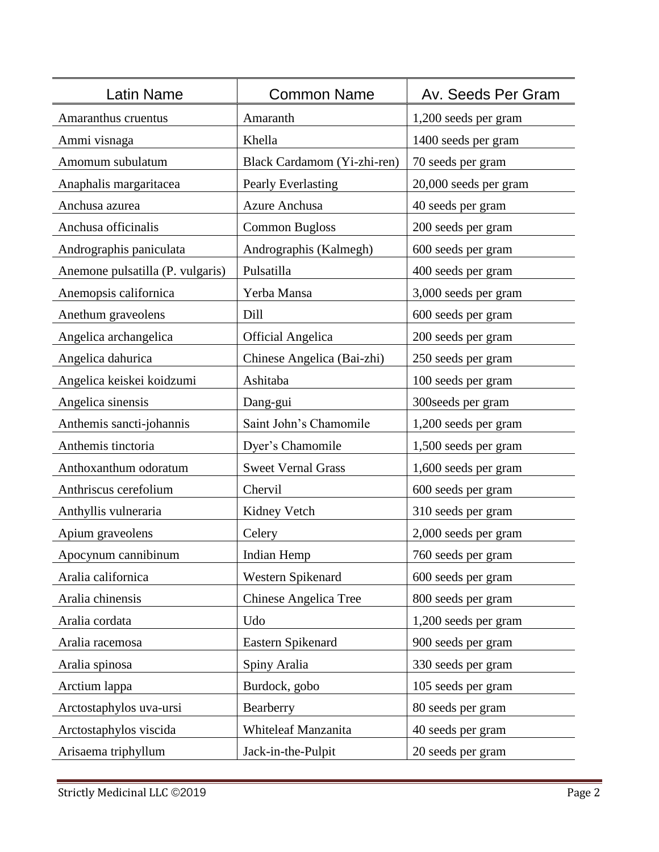| atin Name                        | <b>Common Name</b>           | Av. Seeds Per Gram    |
|----------------------------------|------------------------------|-----------------------|
| Amaranthus cruentus              | Amaranth                     | 1,200 seeds per gram  |
| Ammi visnaga                     | Khella                       | 1400 seeds per gram   |
| Amomum subulatum                 | Black Cardamom (Yi-zhi-ren)  | 70 seeds per gram     |
| Anaphalis margaritacea           | Pearly Everlasting           | 20,000 seeds per gram |
| Anchusa azurea                   | <b>Azure Anchusa</b>         | 40 seeds per gram     |
| Anchusa officinalis              | <b>Common Bugloss</b>        | 200 seeds per gram    |
| Andrographis paniculata          | Andrographis (Kalmegh)       | 600 seeds per gram    |
| Anemone pulsatilla (P. vulgaris) | Pulsatilla                   | 400 seeds per gram    |
| Anemopsis californica            | Yerba Mansa                  | 3,000 seeds per gram  |
| Anethum graveolens               | Dill                         | 600 seeds per gram    |
| Angelica archangelica            | <b>Official Angelica</b>     | 200 seeds per gram    |
| Angelica dahurica                | Chinese Angelica (Bai-zhi)   | 250 seeds per gram    |
| Angelica keiskei koidzumi        | Ashitaba                     | 100 seeds per gram    |
| Angelica sinensis                | Dang-gui                     | 300 seeds per gram    |
| Anthemis sancti-johannis         | Saint John's Chamomile       | 1,200 seeds per gram  |
| Anthemis tinctoria               | Dyer's Chamomile             | 1,500 seeds per gram  |
| Anthoxanthum odoratum            | <b>Sweet Vernal Grass</b>    | 1,600 seeds per gram  |
| Anthriscus cerefolium            | Chervil                      | 600 seeds per gram    |
| Anthyllis vulneraria             | Kidney Vetch                 | 310 seeds per gram    |
| Apium graveolens                 | Celery                       | 2,000 seeds per gram  |
| Apocynum cannibinum              | Indian Hemp                  | 760 seeds per gram    |
| Aralia californica               | Western Spikenard            | 600 seeds per gram    |
| Aralia chinensis                 | <b>Chinese Angelica Tree</b> | 800 seeds per gram    |
| Aralia cordata                   | Udo                          | 1,200 seeds per gram  |
| Aralia racemosa                  | Eastern Spikenard            | 900 seeds per gram    |
| Aralia spinosa                   | Spiny Aralia                 | 330 seeds per gram    |
| Arctium lappa                    | Burdock, gobo                | 105 seeds per gram    |
| Arctostaphylos uva-ursi          | Bearberry                    | 80 seeds per gram     |
| Arctostaphylos viscida           | Whiteleaf Manzanita          | 40 seeds per gram     |
| Arisaema triphyllum              | Jack-in-the-Pulpit           | 20 seeds per gram     |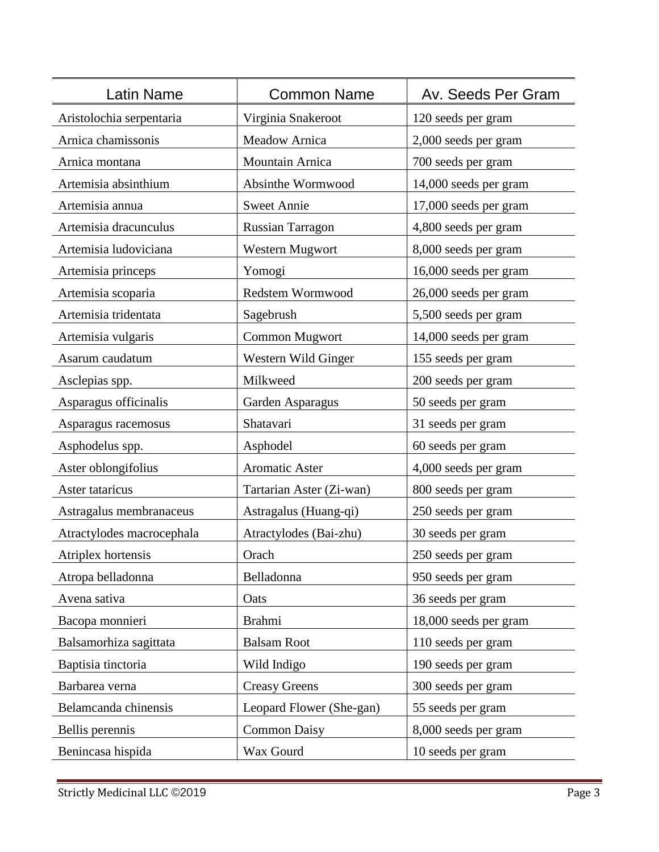| Latin Name                | <b>Common Name</b>       | Av. Seeds Per Gram    |
|---------------------------|--------------------------|-----------------------|
| Aristolochia serpentaria  | Virginia Snakeroot       | 120 seeds per gram    |
| Arnica chamissonis        | <b>Meadow Arnica</b>     | 2,000 seeds per gram  |
| Arnica montana            | Mountain Arnica          | 700 seeds per gram    |
| Artemisia absinthium      | Absinthe Wormwood        | 14,000 seeds per gram |
| Artemisia annua           | <b>Sweet Annie</b>       | 17,000 seeds per gram |
| Artemisia dracunculus     | <b>Russian Tarragon</b>  | 4,800 seeds per gram  |
| Artemisia ludoviciana     | Western Mugwort          | 8,000 seeds per gram  |
| Artemisia princeps        | Yomogi                   | 16,000 seeds per gram |
| Artemisia scoparia        | Redstem Wormwood         | 26,000 seeds per gram |
| Artemisia tridentata      | Sagebrush                | 5,500 seeds per gram  |
| Artemisia vulgaris        | <b>Common Mugwort</b>    | 14,000 seeds per gram |
| Asarum caudatum           | Western Wild Ginger      | 155 seeds per gram    |
| Asclepias spp.            | Milkweed                 | 200 seeds per gram    |
| Asparagus officinalis     | Garden Asparagus         | 50 seeds per gram     |
| Asparagus racemosus       | Shatavari                | 31 seeds per gram     |
| Asphodelus spp.           | Asphodel                 | 60 seeds per gram     |
| Aster oblongifolius       | <b>Aromatic Aster</b>    | 4,000 seeds per gram  |
| Aster tataricus           | Tartarian Aster (Zi-wan) | 800 seeds per gram    |
| Astragalus membranaceus   | Astragalus (Huang-qi)    | 250 seeds per gram    |
| Atractylodes macrocephala | Atractylodes (Bai-zhu)   | 30 seeds per gram     |
| Atriplex hortensis        | Orach                    | 250 seeds per gram    |
| Atropa belladonna         | Belladonna               | 950 seeds per gram    |
| Avena sativa              | Oats                     | 36 seeds per gram     |
| Bacopa monnieri           | <b>Brahmi</b>            | 18,000 seeds per gram |
| Balsamorhiza sagittata    | <b>Balsam Root</b>       | 110 seeds per gram    |
| Baptisia tinctoria        | Wild Indigo              | 190 seeds per gram    |
| Barbarea verna            | <b>Creasy Greens</b>     | 300 seeds per gram    |
| Belamcanda chinensis      | Leopard Flower (She-gan) | 55 seeds per gram     |
| Bellis perennis           | <b>Common Daisy</b>      | 8,000 seeds per gram  |
| Benincasa hispida         | Wax Gourd                | 10 seeds per gram     |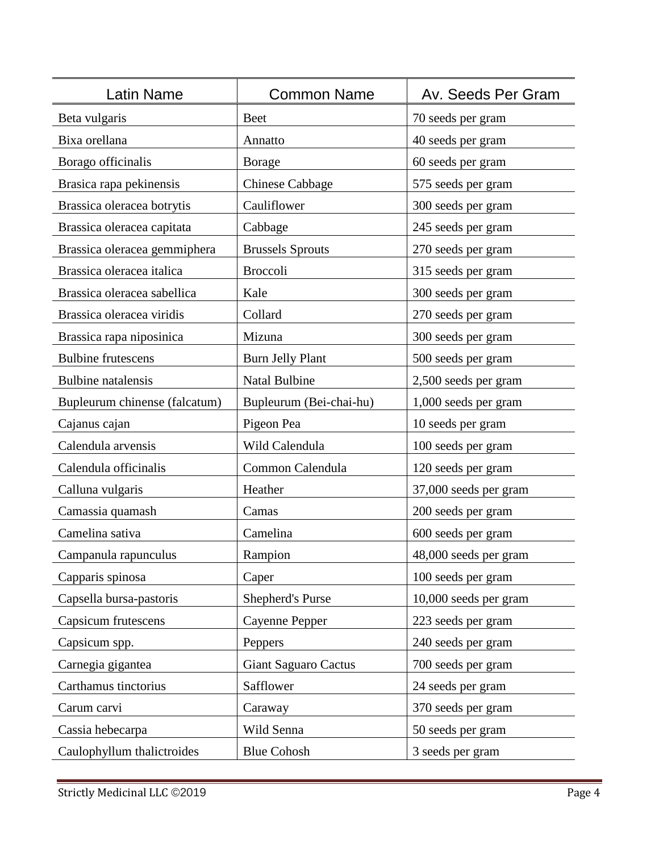| atin Name                     | <b>Common Name</b>          | Av. Seeds Per Gram    |
|-------------------------------|-----------------------------|-----------------------|
| Beta vulgaris                 | <b>Beet</b>                 | 70 seeds per gram     |
| Bixa orellana                 | Annatto                     | 40 seeds per gram     |
| Borago officinalis            | <b>Borage</b>               | 60 seeds per gram     |
| Brasica rapa pekinensis       | <b>Chinese Cabbage</b>      | 575 seeds per gram    |
| Brassica oleracea botrytis    | Cauliflower                 | 300 seeds per gram    |
| Brassica oleracea capitata    | Cabbage                     | 245 seeds per gram    |
| Brassica oleracea gemmiphera  | <b>Brussels Sprouts</b>     | 270 seeds per gram    |
| Brassica oleracea italica     | <b>Broccoli</b>             | 315 seeds per gram    |
| Brassica oleracea sabellica   | Kale                        | 300 seeds per gram    |
| Brassica oleracea viridis     | Collard                     | 270 seeds per gram    |
| Brassica rapa niposinica      | Mizuna                      | 300 seeds per gram    |
| <b>Bulbine frutescens</b>     | <b>Burn Jelly Plant</b>     | 500 seeds per gram    |
| <b>Bulbine</b> natalensis     | <b>Natal Bulbine</b>        | 2,500 seeds per gram  |
| Bupleurum chinense (falcatum) | Bupleurum (Bei-chai-hu)     | 1,000 seeds per gram  |
| Cajanus cajan                 | Pigeon Pea                  | 10 seeds per gram     |
| Calendula arvensis            | Wild Calendula              | 100 seeds per gram    |
| Calendula officinalis         | Common Calendula            | 120 seeds per gram    |
| Calluna vulgaris              | Heather                     | 37,000 seeds per gram |
| Camassia quamash              | Camas                       | 200 seeds per gram    |
| Camelina sativa               | Camelina                    | 600 seeds per gram    |
| Campanula rapunculus          | Rampion                     | 48,000 seeds per gram |
| Capparis spinosa              | Caper                       | 100 seeds per gram    |
| Capsella bursa-pastoris       | <b>Shepherd's Purse</b>     | 10,000 seeds per gram |
| Capsicum frutescens           | <b>Cayenne Pepper</b>       | 223 seeds per gram    |
| Capsicum spp.                 | Peppers                     | 240 seeds per gram    |
| Carnegia gigantea             | <b>Giant Saguaro Cactus</b> | 700 seeds per gram    |
| Carthamus tinctorius          | Safflower                   | 24 seeds per gram     |
| Carum carvi                   | Caraway                     | 370 seeds per gram    |
| Cassia hebecarpa              | Wild Senna                  | 50 seeds per gram     |
| Caulophyllum thalictroides    | <b>Blue Cohosh</b>          | 3 seeds per gram      |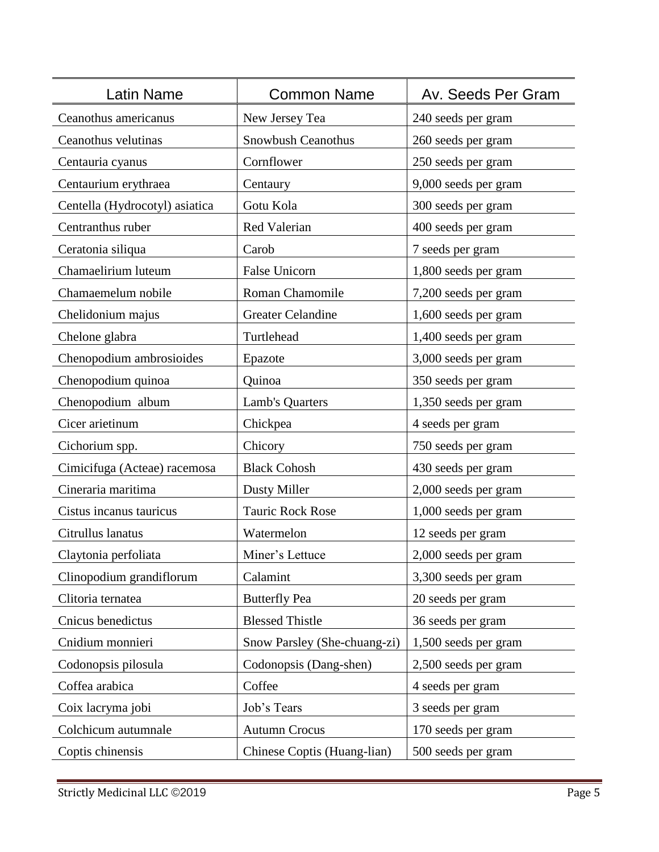| <b>Latin Name</b>              | <b>Common Name</b>           | Av. Seeds Per Gram   |
|--------------------------------|------------------------------|----------------------|
| Ceanothus americanus           | New Jersey Tea               | 240 seeds per gram   |
| Ceanothus velutinas            | Snowbush Ceanothus           | 260 seeds per gram   |
| Centauria cyanus               | Cornflower                   | 250 seeds per gram   |
| Centaurium erythraea           | Centaury                     | 9,000 seeds per gram |
| Centella (Hydrocotyl) asiatica | Gotu Kola                    | 300 seeds per gram   |
| Centranthus ruber              | Red Valerian                 | 400 seeds per gram   |
| Ceratonia siliqua              | Carob                        | 7 seeds per gram     |
| Chamaelirium luteum            | False Unicorn                | 1,800 seeds per gram |
| Chamaemelum nobile             | <b>Roman Chamomile</b>       | 7,200 seeds per gram |
| Chelidonium majus              | <b>Greater Celandine</b>     | 1,600 seeds per gram |
| Chelone glabra                 | Turtlehead                   | 1,400 seeds per gram |
| Chenopodium ambrosioides       | Epazote                      | 3,000 seeds per gram |
| Chenopodium quinoa             | Quinoa                       | 350 seeds per gram   |
| Chenopodium album              | Lamb's Quarters              | 1,350 seeds per gram |
| Cicer arietinum                | Chickpea                     | 4 seeds per gram     |
| Cichorium spp.                 | Chicory                      | 750 seeds per gram   |
| Cimicifuga (Acteae) racemosa   | <b>Black Cohosh</b>          | 430 seeds per gram   |
| Cineraria maritima             | <b>Dusty Miller</b>          | 2,000 seeds per gram |
| Cistus incanus tauricus        | <b>Tauric Rock Rose</b>      | 1,000 seeds per gram |
| Citrullus lanatus              | Watermelon                   | 12 seeds per gram    |
| Claytonia perfoliata           | Miner's Lettuce              | 2,000 seeds per gram |
| Clinopodium grandiflorum       | Calamint                     | 3,300 seeds per gram |
| Clitoria ternatea              | <b>Butterfly Pea</b>         | 20 seeds per gram    |
| Cnicus benedictus              | <b>Blessed Thistle</b>       | 36 seeds per gram    |
| Cnidium monnieri               | Snow Parsley (She-chuang-zi) | 1,500 seeds per gram |
| Codonopsis pilosula            | Codonopsis (Dang-shen)       | 2,500 seeds per gram |
| Coffea arabica                 | Coffee                       | 4 seeds per gram     |
| Coix lacryma jobi              | Job's Tears                  | 3 seeds per gram     |
| Colchicum autumnale            | <b>Autumn Crocus</b>         | 170 seeds per gram   |
| Coptis chinensis               | Chinese Coptis (Huang-lian)  | 500 seeds per gram   |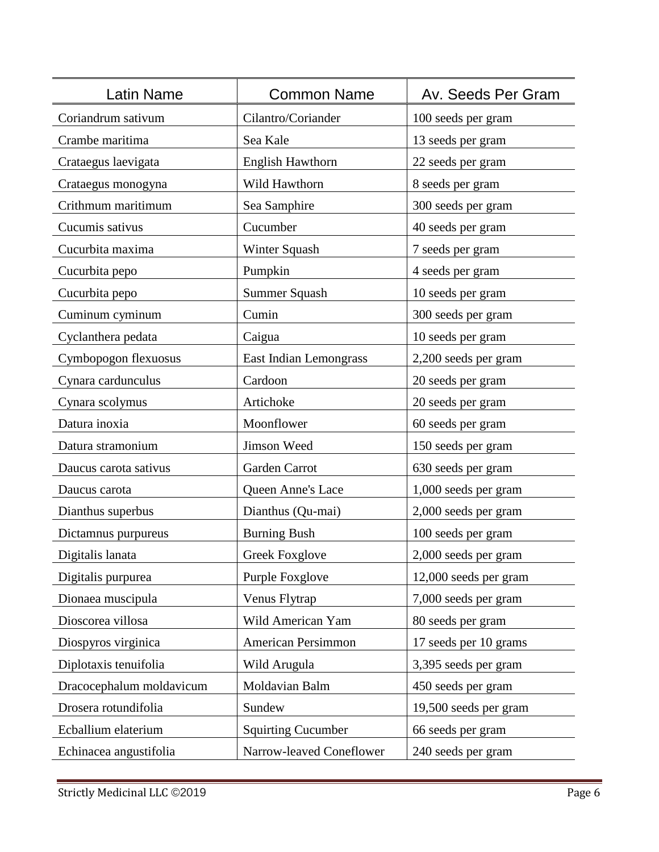| <b>Latin Name</b>        | <b>Common Name</b>        | Av. Seeds Per Gram    |
|--------------------------|---------------------------|-----------------------|
| Coriandrum sativum       | Cilantro/Coriander        | 100 seeds per gram    |
| Crambe maritima          | Sea Kale                  | 13 seeds per gram     |
| Crataegus laevigata      | <b>English Hawthorn</b>   | 22 seeds per gram     |
| Crataegus monogyna       | Wild Hawthorn             | 8 seeds per gram      |
| Crithmum maritimum       | Sea Samphire              | 300 seeds per gram    |
| Cucumis sativus          | Cucumber                  | 40 seeds per gram     |
| Cucurbita maxima         | Winter Squash             | 7 seeds per gram      |
| Cucurbita pepo           | Pumpkin                   | 4 seeds per gram      |
| Cucurbita pepo           | Summer Squash             | 10 seeds per gram     |
| Cuminum cyminum          | Cumin                     | 300 seeds per gram    |
| Cyclanthera pedata       | Caigua                    | 10 seeds per gram     |
| Cymbopogon flexuosus     | East Indian Lemongrass    | 2,200 seeds per gram  |
| Cynara cardunculus       | Cardoon                   | 20 seeds per gram     |
| Cynara scolymus          | Artichoke                 | 20 seeds per gram     |
| Datura inoxia            | Moonflower                | 60 seeds per gram     |
| Datura stramonium        | Jimson Weed               | 150 seeds per gram    |
| Daucus carota sativus    | Garden Carrot             | 630 seeds per gram    |
| Daucus carota            | Queen Anne's Lace         | 1,000 seeds per gram  |
| Dianthus superbus        | Dianthus (Qu-mai)         | 2,000 seeds per gram  |
| Dictamnus purpureus      | <b>Burning Bush</b>       | 100 seeds per gram    |
| Digitalis lanata         | <b>Greek Foxglove</b>     | 2,000 seeds per gram  |
| Digitalis purpurea       | Purple Foxglove           | 12,000 seeds per gram |
| Dionaea muscipula        | Venus Flytrap             | 7,000 seeds per gram  |
| Dioscorea villosa        | Wild American Yam         | 80 seeds per gram     |
| Diospyros virginica      | American Persimmon        | 17 seeds per 10 grams |
| Diplotaxis tenuifolia    | Wild Arugula              | 3,395 seeds per gram  |
| Dracocephalum moldavicum | Moldavian Balm            | 450 seeds per gram    |
| Drosera rotundifolia     | Sundew                    | 19,500 seeds per gram |
| Ecballium elaterium      | <b>Squirting Cucumber</b> | 66 seeds per gram     |
| Echinacea angustifolia   | Narrow-leaved Coneflower  | 240 seeds per gram    |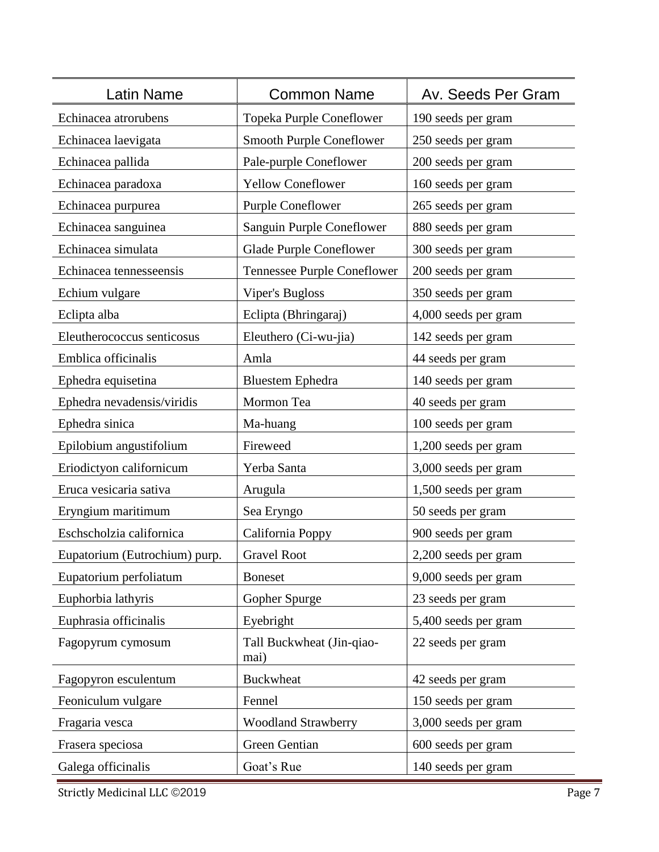| Latin Name                    | <b>Common Name</b>                | Av. Seeds Per Gram   |
|-------------------------------|-----------------------------------|----------------------|
| Echinacea atrorubens          | <b>Topeka Purple Coneflower</b>   | 190 seeds per gram   |
| Echinacea laevigata           | <b>Smooth Purple Coneflower</b>   | 250 seeds per gram   |
| Echinacea pallida             | Pale-purple Coneflower            | 200 seeds per gram   |
| Echinacea paradoxa            | <b>Yellow Coneflower</b>          | 160 seeds per gram   |
| Echinacea purpurea            | <b>Purple Coneflower</b>          | 265 seeds per gram   |
| Echinacea sanguinea           | Sanguin Purple Coneflower         | 880 seeds per gram   |
| Echinacea simulata            | <b>Glade Purple Coneflower</b>    | 300 seeds per gram   |
| Echinacea tennesseensis       | Tennessee Purple Coneflower       | 200 seeds per gram   |
| Echium vulgare                | <b>Viper's Bugloss</b>            | 350 seeds per gram   |
| Eclipta alba                  | Eclipta (Bhringaraj)              | 4,000 seeds per gram |
| Eleutherococcus senticosus    | Eleuthero (Ci-wu-jia)             | 142 seeds per gram   |
| Emblica officinalis           | Amla                              | 44 seeds per gram    |
| Ephedra equisetina            | <b>Bluestem Ephedra</b>           | 140 seeds per gram   |
| Ephedra nevadensis/viridis    | Mormon Tea                        | 40 seeds per gram    |
| Ephedra sinica                | Ma-huang                          | 100 seeds per gram   |
| Epilobium angustifolium       | Fireweed                          | 1,200 seeds per gram |
| Eriodictyon californicum      | Yerba Santa                       | 3,000 seeds per gram |
| Eruca vesicaria sativa        | Arugula                           | 1,500 seeds per gram |
| Eryngium maritimum            | Sea Eryngo                        | 50 seeds per gram    |
| Eschscholzia californica      | California Poppy                  | 900 seeds per gram   |
| Eupatorium (Eutrochium) purp. | <b>Gravel Root</b>                | 2,200 seeds per gram |
| Eupatorium perfoliatum        | <b>Boneset</b>                    | 9,000 seeds per gram |
| Euphorbia lathyris            | Gopher Spurge                     | 23 seeds per gram    |
| Euphrasia officinalis         | Eyebright                         | 5,400 seeds per gram |
| Fagopyrum cymosum             | Tall Buckwheat (Jin-qiao-<br>mai) | 22 seeds per gram    |
| Fagopyron esculentum          | <b>Buckwheat</b>                  | 42 seeds per gram    |
| Feoniculum vulgare            | Fennel                            | 150 seeds per gram   |
| Fragaria vesca                | <b>Woodland Strawberry</b>        | 3,000 seeds per gram |
| Frasera speciosa              | Green Gentian                     | 600 seeds per gram   |
| Galega officinalis            | Goat's Rue                        | 140 seeds per gram   |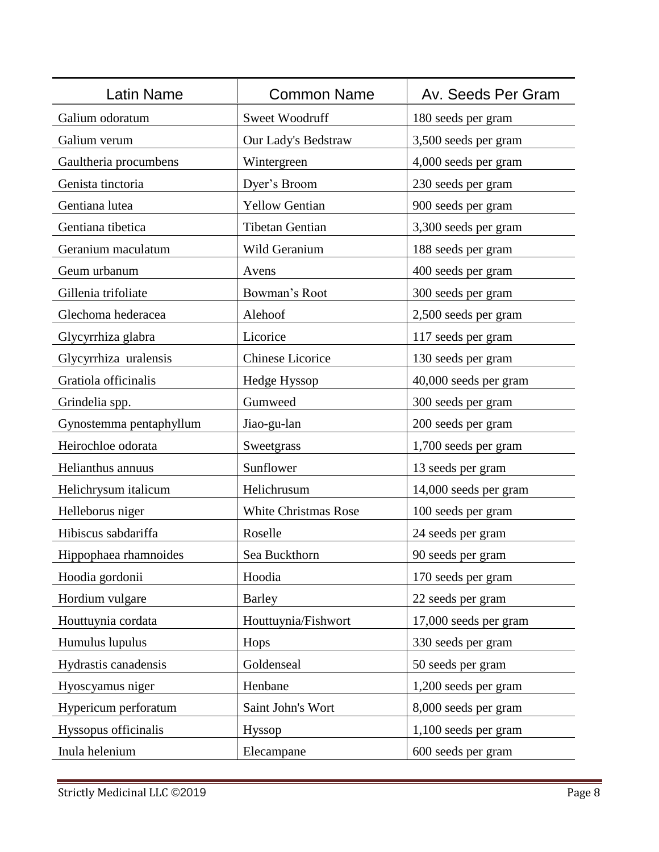| <b>Latin Name</b>       | <b>Common Name</b>          | Av. Seeds Per Gram    |
|-------------------------|-----------------------------|-----------------------|
| Galium odoratum         | Sweet Woodruff              | 180 seeds per gram    |
| Galium verum            | Our Lady's Bedstraw         | 3,500 seeds per gram  |
| Gaultheria procumbens   | Wintergreen                 | 4,000 seeds per gram  |
| Genista tinctoria       | Dyer's Broom                | 230 seeds per gram    |
| Gentiana lutea          | <b>Yellow Gentian</b>       | 900 seeds per gram    |
| Gentiana tibetica       | <b>Tibetan Gentian</b>      | 3,300 seeds per gram  |
| Geranium maculatum      | Wild Geranium               | 188 seeds per gram    |
| Geum urbanum            | Avens                       | 400 seeds per gram    |
| Gillenia trifoliate     | Bowman's Root               | 300 seeds per gram    |
| Glechoma hederacea      | Alehoof                     | 2,500 seeds per gram  |
| Glycyrrhiza glabra      | Licorice                    | 117 seeds per gram    |
| Glycyrrhiza uralensis   | <b>Chinese Licorice</b>     | 130 seeds per gram    |
| Gratiola officinalis    | Hedge Hyssop                | 40,000 seeds per gram |
| Grindelia spp.          | Gumweed                     | 300 seeds per gram    |
| Gynostemma pentaphyllum | Jiao-gu-lan                 | 200 seeds per gram    |
| Heirochloe odorata      | Sweetgrass                  | 1,700 seeds per gram  |
| Helianthus annuus       | Sunflower                   | 13 seeds per gram     |
| Helichrysum italicum    | Helichrusum                 | 14,000 seeds per gram |
| Helleborus niger        | <b>White Christmas Rose</b> | 100 seeds per gram    |
| Hibiscus sabdariffa     | Roselle                     | 24 seeds per gram     |
| Hippophaea rhamnoides   | Sea Buckthorn               | 90 seeds per gram     |
| Hoodia gordonii         | Hoodia                      | 170 seeds per gram    |
| Hordium vulgare         | <b>Barley</b>               | 22 seeds per gram     |
| Houttuynia cordata      | Houttuynia/Fishwort         | 17,000 seeds per gram |
| Humulus lupulus         | Hops                        | 330 seeds per gram    |
| Hydrastis canadensis    | Goldenseal                  | 50 seeds per gram     |
| Hyoscyamus niger        | Henbane                     | 1,200 seeds per gram  |
| Hypericum perforatum    | Saint John's Wort           | 8,000 seeds per gram  |
| Hyssopus officinalis    | <b>Hyssop</b>               | 1,100 seeds per gram  |
| Inula helenium          | Elecampane                  | 600 seeds per gram    |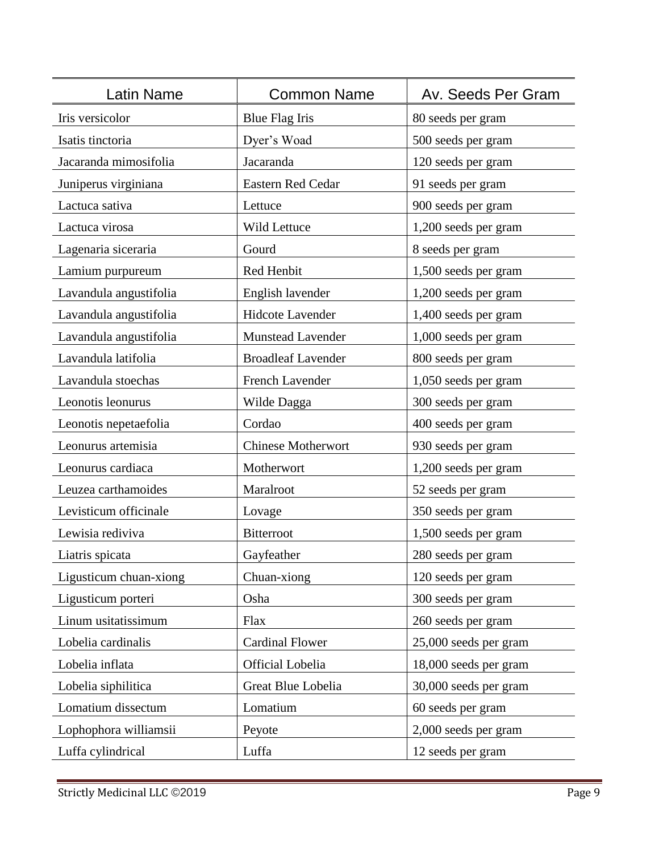| Latin Name             | <b>Common Name</b>        | Av. Seeds Per Gram    |
|------------------------|---------------------------|-----------------------|
| Iris versicolor        | <b>Blue Flag Iris</b>     | 80 seeds per gram     |
| Isatis tinctoria       | Dyer's Woad               | 500 seeds per gram    |
| Jacaranda mimosifolia  | Jacaranda                 | 120 seeds per gram    |
| Juniperus virginiana   | <b>Eastern Red Cedar</b>  | 91 seeds per gram     |
| Lactuca sativa         | Lettuce                   | 900 seeds per gram    |
| Lactuca virosa         | Wild Lettuce              | 1,200 seeds per gram  |
| Lagenaria siceraria    | Gourd                     | 8 seeds per gram      |
| Lamium purpureum       | Red Henbit                | 1,500 seeds per gram  |
| Lavandula angustifolia | English lavender          | 1,200 seeds per gram  |
| Lavandula angustifolia | <b>Hidcote Lavender</b>   | 1,400 seeds per gram  |
| Lavandula angustifolia | <b>Munstead Lavender</b>  | 1,000 seeds per gram  |
| Lavandula latifolia    | <b>Broadleaf Lavender</b> | 800 seeds per gram    |
| Lavandula stoechas     | French Lavender           | 1,050 seeds per gram  |
| Leonotis leonurus      | Wilde Dagga               | 300 seeds per gram    |
| Leonotis nepetaefolia  | Cordao                    | 400 seeds per gram    |
| Leonurus artemisia     | <b>Chinese Motherwort</b> | 930 seeds per gram    |
| Leonurus cardiaca      | Motherwort                | 1,200 seeds per gram  |
| Leuzea carthamoides    | Maralroot                 | 52 seeds per gram     |
| Levisticum officinale  | Lovage                    | 350 seeds per gram    |
| Lewisia rediviva       | <b>Bitterroot</b>         | 1,500 seeds per gram  |
| Liatris spicata        | Gayfeather                | 280 seeds per gram    |
| Ligusticum chuan-xiong | Chuan-xiong               | 120 seeds per gram    |
| Ligusticum porteri     | Osha                      | 300 seeds per gram    |
| Linum usitatissimum    | Flax                      | 260 seeds per gram    |
| Lobelia cardinalis     | <b>Cardinal Flower</b>    | 25,000 seeds per gram |
| Lobelia inflata        | Official Lobelia          | 18,000 seeds per gram |
| Lobelia siphilitica    | Great Blue Lobelia        | 30,000 seeds per gram |
| Lomatium dissectum     | Lomatium                  | 60 seeds per gram     |
| Lophophora williamsii  | Peyote                    | 2,000 seeds per gram  |
| Luffa cylindrical      | Luffa                     | 12 seeds per gram     |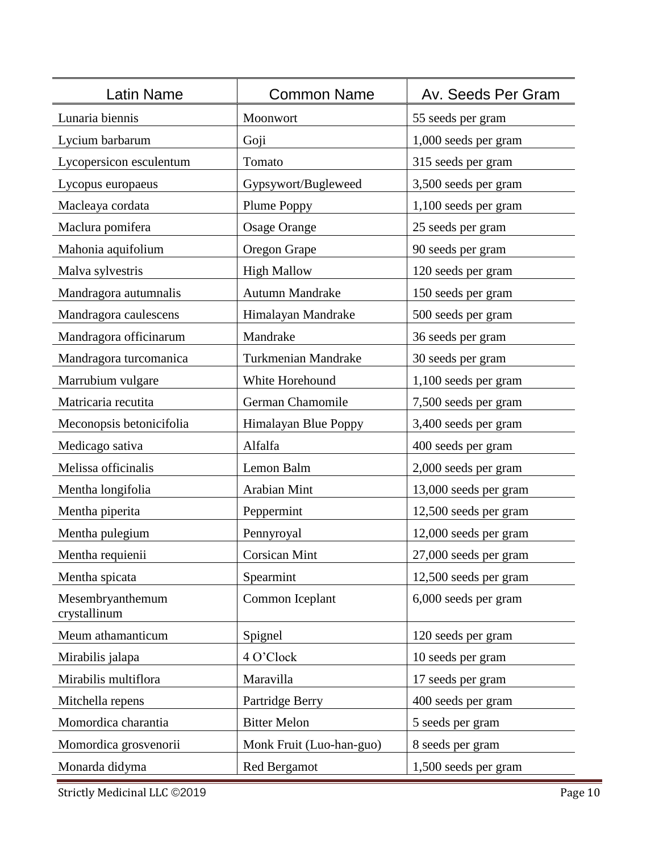| Latin Name                       | <b>Common Name</b>         | Av. Seeds Per Gram    |
|----------------------------------|----------------------------|-----------------------|
| Lunaria biennis                  | Moonwort                   | 55 seeds per gram     |
| Lycium barbarum                  | Goji                       | 1,000 seeds per gram  |
| Lycopersicon esculentum          | Tomato                     | 315 seeds per gram    |
| Lycopus europaeus                | Gypsywort/Bugleweed        | 3,500 seeds per gram  |
| Macleaya cordata                 | Plume Poppy                | 1,100 seeds per gram  |
| Maclura pomifera                 | <b>Osage Orange</b>        | 25 seeds per gram     |
| Mahonia aquifolium               | Oregon Grape               | 90 seeds per gram     |
| Malva sylvestris                 | <b>High Mallow</b>         | 120 seeds per gram    |
| Mandragora autumnalis            | <b>Autumn Mandrake</b>     | 150 seeds per gram    |
| Mandragora caulescens            | Himalayan Mandrake         | 500 seeds per gram    |
| Mandragora officinarum           | Mandrake                   | 36 seeds per gram     |
| Mandragora turcomanica           | <b>Turkmenian Mandrake</b> | 30 seeds per gram     |
| Marrubium vulgare                | White Horehound            | 1,100 seeds per gram  |
| Matricaria recutita              | German Chamomile           | 7,500 seeds per gram  |
| Meconopsis betonicifolia         | Himalayan Blue Poppy       | 3,400 seeds per gram  |
| Medicago sativa                  | Alfalfa                    | 400 seeds per gram    |
| Melissa officinalis              | Lemon Balm                 | 2,000 seeds per gram  |
| Mentha longifolia                | Arabian Mint               | 13,000 seeds per gram |
| Mentha piperita                  | Peppermint                 | 12,500 seeds per gram |
| Mentha pulegium                  | Pennyroyal                 | 12,000 seeds per gram |
| Mentha requienii                 | <b>Corsican Mint</b>       | 27,000 seeds per gram |
| Mentha spicata                   | Spearmint                  | 12,500 seeds per gram |
| Mesembryanthemum<br>crystallinum | Common Iceplant            | 6,000 seeds per gram  |
| Meum athamanticum                | Spignel                    | 120 seeds per gram    |
| Mirabilis jalapa                 | 4 O'Clock                  | 10 seeds per gram     |
| Mirabilis multiflora             | Maravilla                  | 17 seeds per gram     |
| Mitchella repens                 | Partridge Berry            | 400 seeds per gram    |
| Momordica charantia              | <b>Bitter Melon</b>        | 5 seeds per gram      |
| Momordica grosvenorii            | Monk Fruit (Luo-han-guo)   | 8 seeds per gram      |
| Monarda didyma                   | <b>Red Bergamot</b>        | 1,500 seeds per gram  |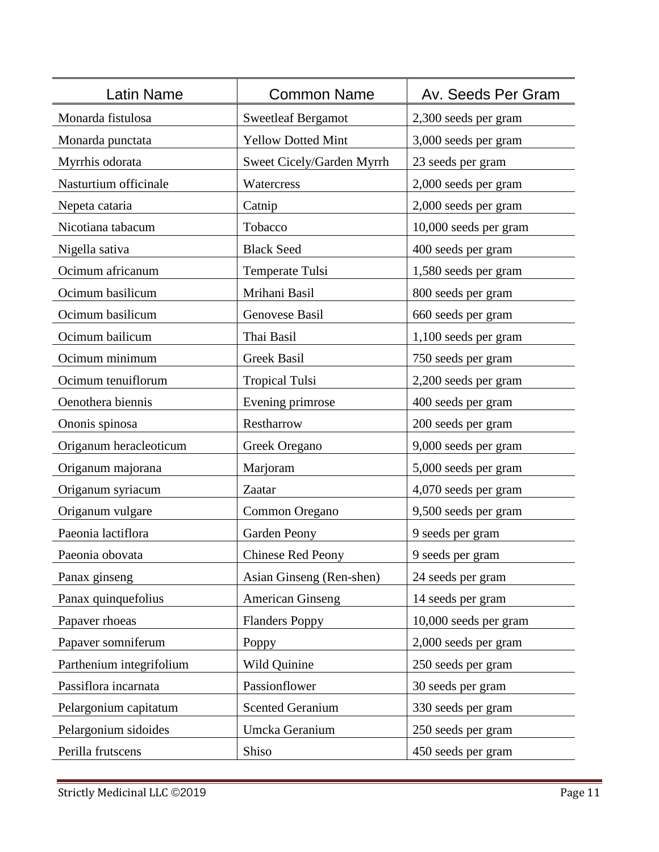| Latin Name               | <b>Common Name</b>        | Av. Seeds Per Gram    |
|--------------------------|---------------------------|-----------------------|
| Monarda fistulosa        | <b>Sweetleaf Bergamot</b> | 2,300 seeds per gram  |
| Monarda punctata         | <b>Yellow Dotted Mint</b> | 3,000 seeds per gram  |
| Myrrhis odorata          | Sweet Cicely/Garden Myrrh | 23 seeds per gram     |
| Nasturtium officinale    | Watercress                | 2,000 seeds per gram  |
| Nepeta cataria           | Catnip                    | 2,000 seeds per gram  |
| Nicotiana tabacum        | Tobacco                   | 10,000 seeds per gram |
| Nigella sativa           | <b>Black Seed</b>         | 400 seeds per gram    |
| Ocimum africanum         | <b>Temperate Tulsi</b>    | 1,580 seeds per gram  |
| Ocimum basilicum         | Mrihani Basil             | 800 seeds per gram    |
| Ocimum basilicum         | Genovese Basil            | 660 seeds per gram    |
| Ocimum bailicum          | Thai Basil                | 1,100 seeds per gram  |
| Ocimum minimum           | <b>Greek Basil</b>        | 750 seeds per gram    |
| Ocimum tenuiflorum       | <b>Tropical Tulsi</b>     | 2,200 seeds per gram  |
| Oenothera biennis        | Evening primrose          | 400 seeds per gram    |
| Ononis spinosa           | Restharrow                | 200 seeds per gram    |
| Origanum heracleoticum   | Greek Oregano             | 9,000 seeds per gram  |
| Origanum majorana        | Marjoram                  | 5,000 seeds per gram  |
| Origanum syriacum        | Zaatar                    | 4,070 seeds per gram  |
| Origanum vulgare         | Common Oregano            | 9,500 seeds per gram  |
| Paeonia lactiflora       | Garden Peony              | 9 seeds per gram      |
| Paeonia obovata          | <b>Chinese Red Peony</b>  | 9 seeds per gram      |
| Panax ginseng            | Asian Ginseng (Ren-shen)  | 24 seeds per gram     |
| Panax quinquefolius      | <b>American Ginseng</b>   | 14 seeds per gram     |
| Papaver rhoeas           | <b>Flanders Poppy</b>     | 10,000 seeds per gram |
| Papaver somniferum       | Poppy                     | 2,000 seeds per gram  |
| Parthenium integrifolium | Wild Quinine              | 250 seeds per gram    |
| Passiflora incarnata     | Passionflower             | 30 seeds per gram     |
| Pelargonium capitatum    | <b>Scented Geranium</b>   | 330 seeds per gram    |
| Pelargonium sidoides     | Umcka Geranium            | 250 seeds per gram    |
| Perilla frutscens        | Shiso                     | 450 seeds per gram    |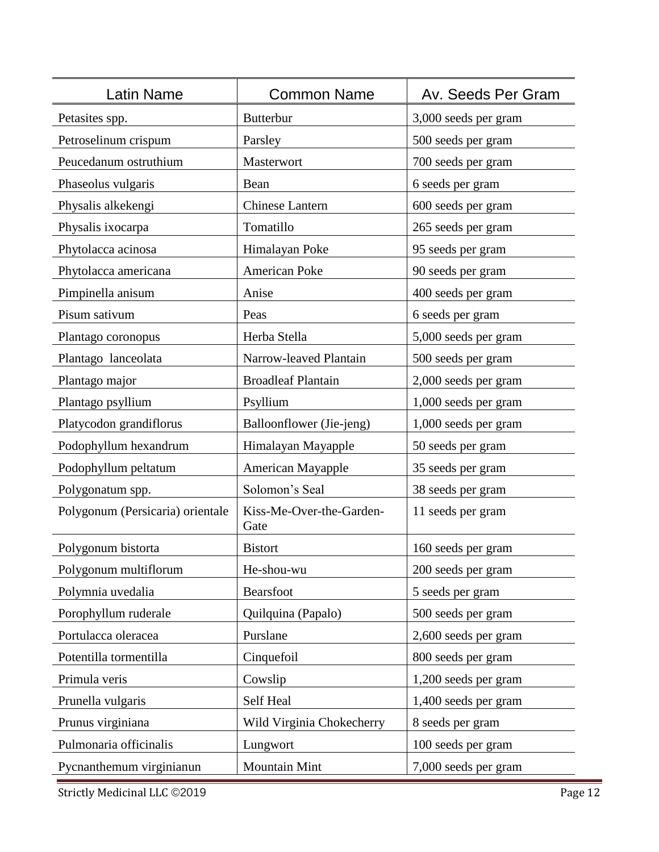| Latin Name                       | <b>Common Name</b>               | Av. Seeds Per Gram   |
|----------------------------------|----------------------------------|----------------------|
| Petasites spp.                   | <b>Butterbur</b>                 | 3,000 seeds per gram |
| Petroselinum crispum             | Parsley                          | 500 seeds per gram   |
| Peucedanum ostruthium            | Masterwort                       | 700 seeds per gram   |
| Phaseolus vulgaris               | Bean                             | 6 seeds per gram     |
| Physalis alkekengi               | <b>Chinese Lantern</b>           | 600 seeds per gram   |
| Physalis ixocarpa                | Tomatillo                        | 265 seeds per gram   |
| Phytolacca acinosa               | Himalayan Poke                   | 95 seeds per gram    |
| Phytolacca americana             | American Poke                    | 90 seeds per gram    |
| Pimpinella anisum                | Anise                            | 400 seeds per gram   |
| Pisum sativum                    | Peas                             | 6 seeds per gram     |
| Plantago coronopus               | Herba Stella                     | 5,000 seeds per gram |
| Plantago lanceolata              | Narrow-leaved Plantain           | 500 seeds per gram   |
| Plantago major                   | <b>Broadleaf Plantain</b>        | 2,000 seeds per gram |
| Plantago psyllium                | Psyllium                         | 1,000 seeds per gram |
| Platycodon grandiflorus          | Balloonflower (Jie-jeng)         | 1,000 seeds per gram |
| Podophyllum hexandrum            | Himalayan Mayapple               | 50 seeds per gram    |
| Podophyllum peltatum             | American Mayapple                | 35 seeds per gram    |
| Polygonatum spp.                 | Solomon's Seal                   | 38 seeds per gram    |
| Polygonum (Persicaria) orientale | Kiss-Me-Over-the-Garden-<br>Gate | 11 seeds per gram    |
| Polygonum bistorta               | <b>Bistort</b>                   | 160 seeds per gram   |
| Polygonum multiflorum            | He-shou-wu                       | 200 seeds per gram   |
| Polymnia uvedalia                | Bearsfoot                        | 5 seeds per gram     |
| Porophyllum ruderale             | Quilquina (Papalo)               | 500 seeds per gram   |
| Portulacca oleracea              | Purslane                         | 2,600 seeds per gram |
| Potentilla tormentilla           | Cinquefoil                       | 800 seeds per gram   |
| Primula veris                    | Cowslip                          | 1,200 seeds per gram |
| Prunella vulgaris                | Self Heal                        | 1,400 seeds per gram |
| Prunus virginiana                | Wild Virginia Chokecherry        | 8 seeds per gram     |
| Pulmonaria officinalis           | Lungwort                         | 100 seeds per gram   |
| Pycnanthemum virginianun         | Mountain Mint                    | 7,000 seeds per gram |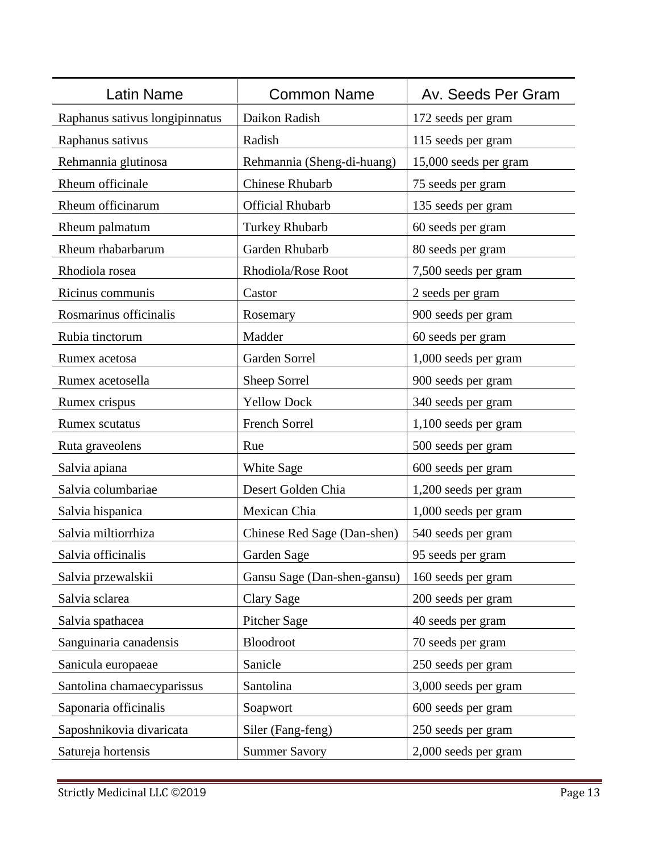| Latin Name                     | <b>Common Name</b>          | Av. Seeds Per Gram    |
|--------------------------------|-----------------------------|-----------------------|
| Raphanus sativus longipinnatus | Daikon Radish               | 172 seeds per gram    |
| Raphanus sativus               | Radish                      | 115 seeds per gram    |
| Rehmannia glutinosa            | Rehmannia (Sheng-di-huang)  | 15,000 seeds per gram |
| Rheum officinale               | <b>Chinese Rhubarb</b>      | 75 seeds per gram     |
| Rheum officinarum              | <b>Official Rhubarb</b>     | 135 seeds per gram    |
| Rheum palmatum                 | <b>Turkey Rhubarb</b>       | 60 seeds per gram     |
| Rheum rhabarbarum              | Garden Rhubarb              | 80 seeds per gram     |
| Rhodiola rosea                 | Rhodiola/Rose Root          | 7,500 seeds per gram  |
| Ricinus communis               | Castor                      | 2 seeds per gram      |
| Rosmarinus officinalis         | Rosemary                    | 900 seeds per gram    |
| Rubia tinctorum                | Madder                      | 60 seeds per gram     |
| Rumex acetosa                  | Garden Sorrel               | 1,000 seeds per gram  |
| Rumex acetosella               | Sheep Sorrel                | 900 seeds per gram    |
| Rumex crispus                  | <b>Yellow Dock</b>          | 340 seeds per gram    |
| Rumex scutatus                 | French Sorrel               | 1,100 seeds per gram  |
| Ruta graveolens                | Rue                         | 500 seeds per gram    |
| Salvia apiana                  | White Sage                  | 600 seeds per gram    |
| Salvia columbariae             | Desert Golden Chia          | 1,200 seeds per gram  |
| Salvia hispanica               | Mexican Chia                | 1,000 seeds per gram  |
| Salvia miltiorrhiza            | Chinese Red Sage (Dan-shen) | 540 seeds per gram    |
| Salvia officinalis             | Garden Sage                 | 95 seeds per gram     |
| Salvia przewalskii             | Gansu Sage (Dan-shen-gansu) | 160 seeds per gram    |
| Salvia sclarea                 | <b>Clary Sage</b>           | 200 seeds per gram    |
| Salvia spathacea               | <b>Pitcher Sage</b>         | 40 seeds per gram     |
| Sanguinaria canadensis         | Bloodroot                   | 70 seeds per gram     |
| Sanicula europaeae             | Sanicle                     | 250 seeds per gram    |
| Santolina chamaecyparissus     | Santolina                   | 3,000 seeds per gram  |
| Saponaria officinalis          | Soapwort                    | 600 seeds per gram    |
| Saposhnikovia divaricata       | Siler (Fang-feng)           | 250 seeds per gram    |
| Satureja hortensis             | <b>Summer Savory</b>        | 2,000 seeds per gram  |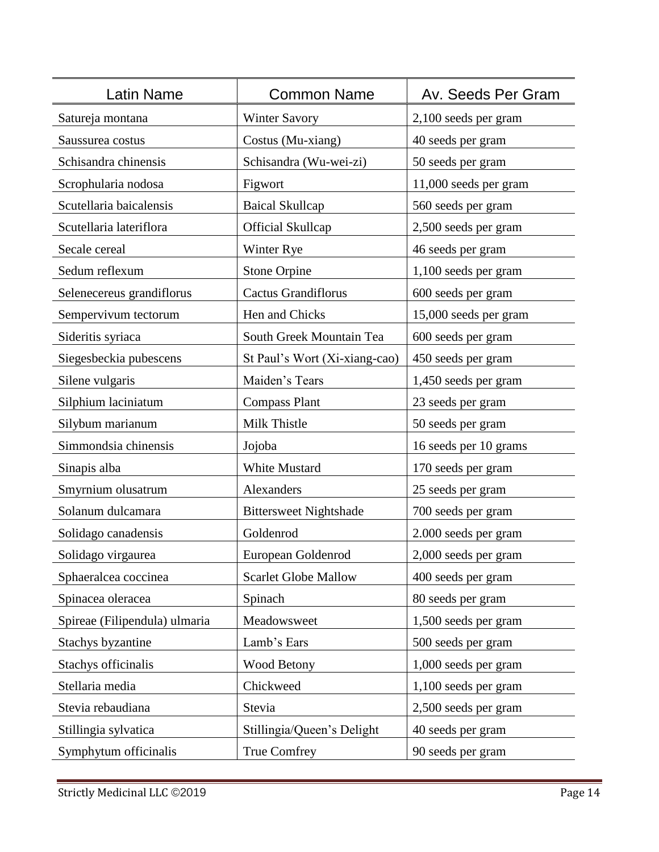| Latin Name                    | <b>Common Name</b>            | Av. Seeds Per Gram    |
|-------------------------------|-------------------------------|-----------------------|
| Satureja montana              | <b>Winter Savory</b>          | 2,100 seeds per gram  |
| Saussurea costus              | Costus (Mu-xiang)             | 40 seeds per gram     |
| Schisandra chinensis          | Schisandra (Wu-wei-zi)        | 50 seeds per gram     |
| Scrophularia nodosa           | Figwort                       | 11,000 seeds per gram |
| Scutellaria baicalensis       | <b>Baical Skullcap</b>        | 560 seeds per gram    |
| Scutellaria lateriflora       | <b>Official Skullcap</b>      | 2,500 seeds per gram  |
| Secale cereal                 | Winter Rye                    | 46 seeds per gram     |
| Sedum reflexum                | <b>Stone Orpine</b>           | 1,100 seeds per gram  |
| Selenecereus grandiflorus     | <b>Cactus Grandiflorus</b>    | 600 seeds per gram    |
| Sempervivum tectorum          | Hen and Chicks                | 15,000 seeds per gram |
| Sideritis syriaca             | South Greek Mountain Tea      | 600 seeds per gram    |
| Siegesbeckia pubescens        | St Paul's Wort (Xi-xiang-cao) | 450 seeds per gram    |
| Silene vulgaris               | Maiden's Tears                | 1,450 seeds per gram  |
| Silphium laciniatum           | <b>Compass Plant</b>          | 23 seeds per gram     |
| Silybum marianum              | Milk Thistle                  | 50 seeds per gram     |
| Simmondsia chinensis          | Jojoba                        | 16 seeds per 10 grams |
| Sinapis alba                  | <b>White Mustard</b>          | 170 seeds per gram    |
| Smyrnium olusatrum            | Alexanders                    | 25 seeds per gram     |
| Solanum dulcamara             | <b>Bittersweet Nightshade</b> | 700 seeds per gram    |
| Solidago canadensis           | Goldenrod                     | 2.000 seeds per gram  |
| Solidago virgaurea            | European Goldenrod            | 2,000 seeds per gram  |
| Sphaeralcea coccinea          | <b>Scarlet Globe Mallow</b>   | 400 seeds per gram    |
| Spinacea oleracea             | Spinach                       | 80 seeds per gram     |
| Spireae (Filipendula) ulmaria | Meadowsweet                   | 1,500 seeds per gram  |
| Stachys byzantine             | Lamb's Ears                   | 500 seeds per gram    |
| Stachys officinalis           | Wood Betony                   | 1,000 seeds per gram  |
| Stellaria media               | Chickweed                     | 1,100 seeds per gram  |
| Stevia rebaudiana             | Stevia                        | 2,500 seeds per gram  |
| Stillingia sylvatica          | Stillingia/Queen's Delight    | 40 seeds per gram     |
| Symphytum officinalis         | True Comfrey                  | 90 seeds per gram     |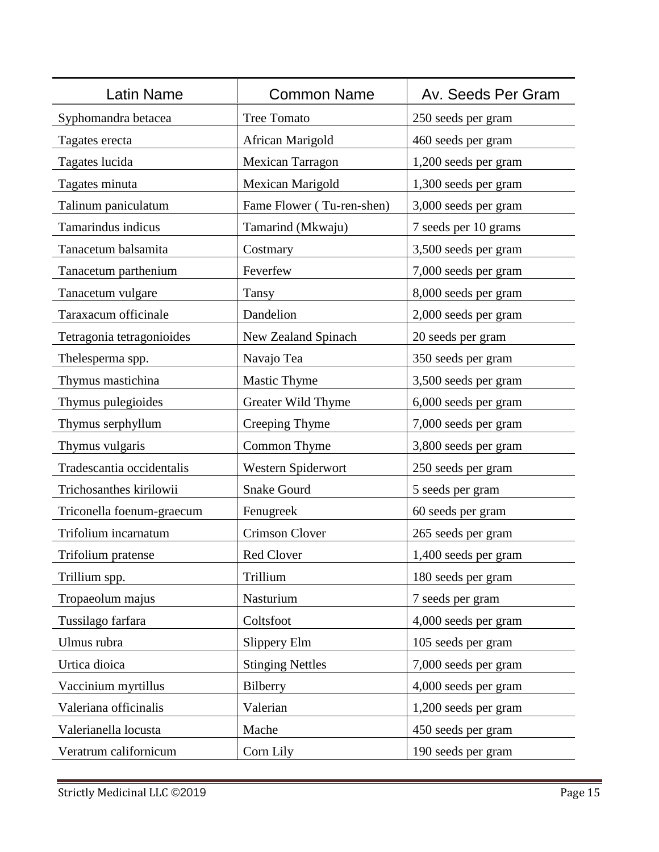| Latin Name                | <b>Common Name</b>        | Av. Seeds Per Gram   |
|---------------------------|---------------------------|----------------------|
| Syphomandra betacea       | <b>Tree Tomato</b>        | 250 seeds per gram   |
| Tagates erecta            | African Marigold          | 460 seeds per gram   |
| Tagates lucida            | Mexican Tarragon          | 1,200 seeds per gram |
| Tagates minuta            | Mexican Marigold          | 1,300 seeds per gram |
| Talinum paniculatum       | Fame Flower (Tu-ren-shen) | 3,000 seeds per gram |
| Tamarindus indicus        | Tamarind (Mkwaju)         | 7 seeds per 10 grams |
| Tanacetum balsamita       | Costmary                  | 3,500 seeds per gram |
| Tanacetum parthenium      | Feverfew                  | 7,000 seeds per gram |
| Tanacetum vulgare         | Tansy                     | 8,000 seeds per gram |
| Taraxacum officinale      | Dandelion                 | 2,000 seeds per gram |
| Tetragonia tetragonioides | New Zealand Spinach       | 20 seeds per gram    |
| Thelesperma spp.          | Navajo Tea                | 350 seeds per gram   |
| Thymus mastichina         | <b>Mastic Thyme</b>       | 3,500 seeds per gram |
| Thymus pulegioides        | Greater Wild Thyme        | 6,000 seeds per gram |
| Thymus serphyllum         | Creeping Thyme            | 7,000 seeds per gram |
| Thymus vulgaris           | Common Thyme              | 3,800 seeds per gram |
| Tradescantia occidentalis | Western Spiderwort        | 250 seeds per gram   |
| Trichosanthes kirilowii   | <b>Snake Gourd</b>        | 5 seeds per gram     |
| Triconella foenum-graecum | Fenugreek                 | 60 seeds per gram    |
| Trifolium incarnatum      | Crimson Clover            | 265 seeds per gram   |
| Trifolium pratense        | Red Clover                | 1,400 seeds per gram |
| Trillium spp.             | Trillium                  | 180 seeds per gram   |
| Tropaeolum majus          | Nasturium                 | 7 seeds per gram     |
| Tussilago farfara         | Coltsfoot                 | 4,000 seeds per gram |
| Ulmus rubra               | Slippery Elm              | 105 seeds per gram   |
| Urtica dioica             | <b>Stinging Nettles</b>   | 7,000 seeds per gram |
| Vaccinium myrtillus       | Bilberry                  | 4,000 seeds per gram |
| Valeriana officinalis     | Valerian                  | 1,200 seeds per gram |
| Valerianella locusta      | Mache                     | 450 seeds per gram   |
| Veratrum californicum     | Corn Lily                 | 190 seeds per gram   |